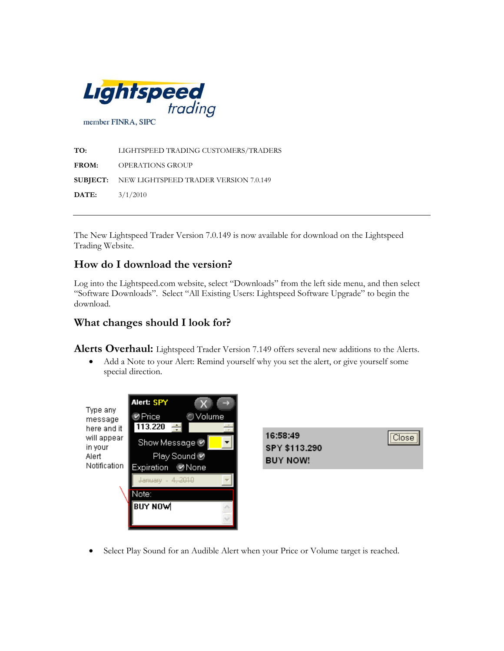

**TO:** LIGHTSPEED TRADING CUSTOMERS/TRADERS **FROM:** OPERATIONS GROUP **SUBJECT:** NEW LIGHTSPEED TRADER VERSION 7.0.149 **DATE:** 3/1/2010

The New Lightspeed Trader Version 7.0.149 is now available for download on the Lightspeed Trading Website.

## **How do I download the version?**

Log into the Lightspeed.com website, select "Downloads" from the left side menu, and then select "Software Downloads". Select "All Existing Users: Lightspeed Software Upgrade" to begin the download.

## **What changes should I look for?**

**Alerts Overhaul:** Lightspeed Trader Version 7.149 offers several new additions to the Alerts.

• Add a Note to your Alert: Remind yourself why you set the alert, or give yourself some special direction.

| Type any<br>message<br>here and it<br>will appear<br>in your<br>Alert<br>Notification | Alert: SPY<br>→<br>Volume<br>tnice⊚<br>113.220<br>÷        | 16:58:49                         | <br>Closel |
|---------------------------------------------------------------------------------------|------------------------------------------------------------|----------------------------------|------------|
|                                                                                       | Show Message<br>Play Sound <sup>●</sup><br>Expiration Mone | SPY \$113.290<br><b>BUY NOW!</b> | :          |
|                                                                                       | January - 4, 2010<br>Note:<br><b>BUY NOW</b>               |                                  |            |
|                                                                                       |                                                            |                                  |            |

• Select Play Sound for an Audible Alert when your Price or Volume target is reached.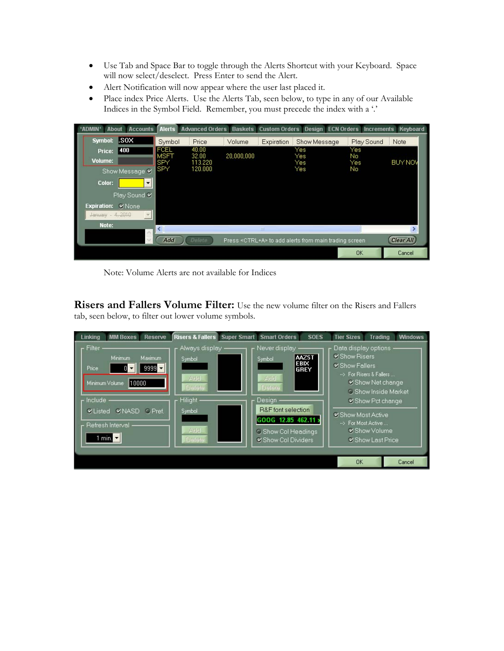- Use Tab and Space Bar to toggle through the Alerts Shortcut with your Keyboard. Space will now select/deselect. Press Enter to send the Alert.
- Alert Notification will now appear where the user last placed it.
- Place index Price Alerts. Use the Alerts Tab, seen below, to type in any of our Available Indices in the Symbol Field. Remember, you must precede the index with a '.'

| <b>ADMIN*</b><br><b>Accounts</b><br><b>About</b> |                     |                |            |             | Alerts Advanced Orders Baskets Custom Orders Design ECN Orders Increments Keyboard |            |                  |
|--------------------------------------------------|---------------------|----------------|------------|-------------|------------------------------------------------------------------------------------|------------|------------------|
| l.sox<br>Symbol:                                 | Symbol              | Price          | Volume     | Expiration  | Show Message                                                                       | Play Sound | Note             |
| 400<br>Price:                                    | FCEL<br><b>MSFT</b> | 40.00<br>32.00 | 20,000,000 |             | Yes<br>Yes                                                                         | Yes<br>No  |                  |
| Volume:                                          | <b>SPY</b>          | 113.220        |            |             | Yes                                                                                | Yes        | <b>BUY NOV</b>   |
| Show Message V                                   | ISPY                | 120,000        |            |             | Yes                                                                                | No         |                  |
| Color:<br>▼                                      |                     |                |            |             |                                                                                    |            |                  |
| Play Sound V                                     |                     |                |            |             |                                                                                    |            |                  |
| <b>Expiration:</b><br><b>Y</b> None              |                     |                |            |             |                                                                                    |            |                  |
| January - 4,2010                                 |                     |                |            |             |                                                                                    |            |                  |
| Note:                                            |                     |                |            | <b>HILL</b> |                                                                                    |            |                  |
|                                                  | Add                 | Delete         |            |             | Press <ctrl+a> to add alerts from main trading screen</ctrl+a>                     |            | <b>Clear All</b> |
|                                                  |                     |                |            |             |                                                                                    | <b>OK</b>  | Cancel           |

Note: Volume Alerts are not available for Indices

**Risers and Fallers Volume Filter:** Use the new volume filter on the Risers and Fallers tab, seen below, to filter out lower volume symbols.

| <b>MM Boxes</b><br><b>Reserve</b><br>Linking                                                                                                                                                                                   | <b>Risers &amp; Fallers</b><br><b>Super Smart</b>                                                    | <b>Smart Orders</b><br><b>SOES</b>                                                                                                                                                   | <b>Tier Sizes</b><br><b>Trading</b><br><b>Windows</b>                                                                                                                                                                                  |
|--------------------------------------------------------------------------------------------------------------------------------------------------------------------------------------------------------------------------------|------------------------------------------------------------------------------------------------------|--------------------------------------------------------------------------------------------------------------------------------------------------------------------------------------|----------------------------------------------------------------------------------------------------------------------------------------------------------------------------------------------------------------------------------------|
| Filter<br>Minimum.<br>Maximum<br>$9999 -$<br>Price<br>01<br>$\blacktriangledown$<br>Minimum Volume<br>110000<br>Include<br><b>VNASD</b><br><b>O</b> Pref.<br><b>V</b> Listed<br>Refresh Interval<br>1 min. $\vert \cdot \vert$ | Always display <sub>1</sub><br>Symbol<br>Add<br>Delete<br><b>Hilight</b><br>Symbol<br>Add.<br>Delete | Never display .<br><b>AAZST</b><br>Symbol<br><b>EBIX</b><br>GREY<br>Add<br>Delete<br>Desian<br>R&F font selection<br>GOOG 12.85 462.11 ><br>C Show Col Headings<br>Show Col Dividers | Data display options<br>V Show Risers<br>V Show Fallers<br>--> For Risers & Fallers<br>Show Net change<br><b>C Show Inside Market</b><br>Show Pct change<br>Show Most Active<br>-> For Most Active<br>■ Show Volume<br>Show Last Price |
|                                                                                                                                                                                                                                |                                                                                                      |                                                                                                                                                                                      | <b>OK</b><br>Cancel                                                                                                                                                                                                                    |